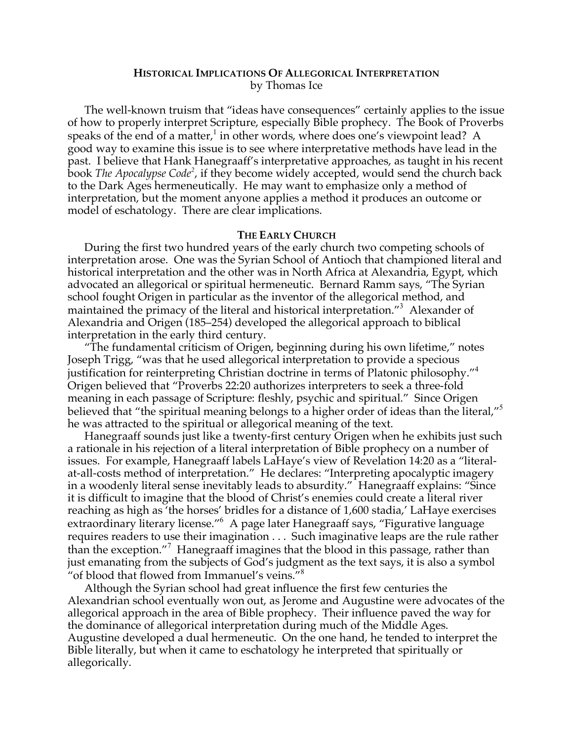# **HISTORICAL IMPLICATIONS OF ALLEGORICAL INTERPRETATION** by Thomas Ice

The well-known truism that "ideas have consequences" certainly applies to the issue of how to properly interpret Scripture, especially Bible prophecy. The Book of Proverbs speaks of the end of a matter,<sup>1</sup> in other words, where does one's viewpoint lead? A good way to examine this issue is to see where interpretative methods have lead in the past. I believe that Hank Hanegraaff's interpretative approaches, as taught in his recent book *The Apocalypse Code<sup>2</sup>*, if they become widely accepted, would send the church back to the Dark Ages hermeneutically. He may want to emphasize only a method of interpretation, but the moment anyone applies a method it produces an outcome or model of eschatology. There are clear implications.

### **THE EARLY CHURCH**

During the first two hundred years of the early church two competing schools of interpretation arose. One was the Syrian School of Antioch that championed literal and historical interpretation and the other was in North Africa at Alexandria, Egypt, which advocated an allegorical or spiritual hermeneutic. Bernard Ramm says, "The Syrian school fought Origen in particular as the inventor of the allegorical method, and maintained the primacy of the literal and historical interpretation."<sup>3</sup> Alexander of Alexandria and Origen (185–254) developed the allegorical approach to biblical interpretation in the early third century.

"The fundamental criticism of Origen, beginning during his own lifetime," notes Joseph Trigg, "was that he used allegorical interpretation to provide a specious justification for reinterpreting Christian doctrine in terms of Platonic philosophy."<sup>4</sup> Origen believed that "Proverbs 22:20 authorizes interpreters to seek a three-fold meaning in each passage of Scripture: fleshly, psychic and spiritual." Since Origen believed that "the spiritual meaning belongs to a higher order of ideas than the literal,"<sup>5</sup> he was attracted to the spiritual or allegorical meaning of the text.

Hanegraaff sounds just like a twenty-first century Origen when he exhibits just such a rationale in his rejection of a literal interpretation of Bible prophecy on a number of issues. For example, Hanegraaff labels LaHaye's view of Revelation 14:20 as a "literalat-all-costs method of interpretation." He declares: "Interpreting apocalyptic imagery in a woodenly literal sense inevitably leads to absurdity." Hanegraaff explains: "Since it is difficult to imagine that the blood of Christ's enemies could create a literal river reaching as high as 'the horses' bridles for a distance of 1,600 stadia,' LaHaye exercises extraordinary literary license."<sup>6</sup> A page later Hanegraaff says, "Figurative language requires readers to use their imagination . . . Such imaginative leaps are the rule rather than the exception."<sup>7</sup> Hanegraaff imagines that the blood in this passage, rather than just emanating from the subjects of God's judgment as the text says, it is also a symbol "of blood that flowed from Immanuel's veins."<sup>8</sup>

Although the Syrian school had great influence the first few centuries the Alexandrian school eventually won out, as Jerome and Augustine were advocates of the allegorical approach in the area of Bible prophecy. Their influence paved the way for the dominance of allegorical interpretation during much of the Middle Ages. Augustine developed a dual hermeneutic. On the one hand, he tended to interpret the Bible literally, but when it came to eschatology he interpreted that spiritually or allegorically.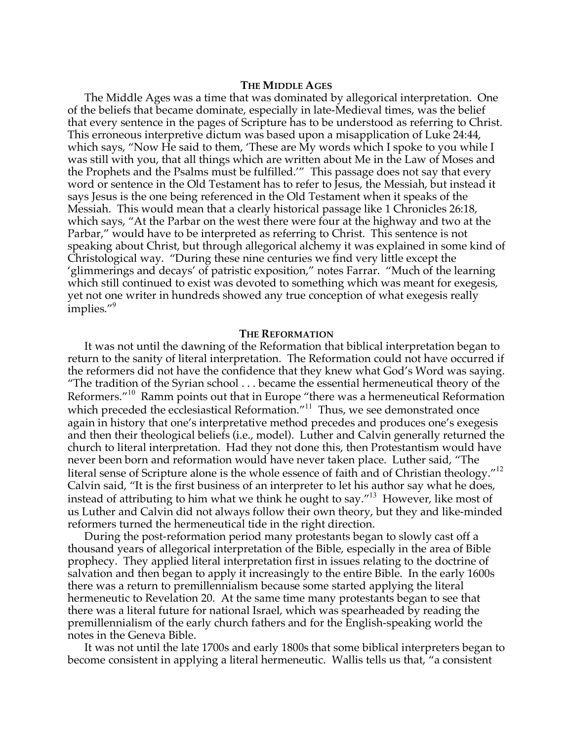### **THE MIDDLE AGES**

The Middle Ages was a time that was dominated by allegorical interpretation. One of the beliefs that became dominate, especially in late-Medieval times, was the belief that every sentence in the pages of Scripture has to be understood as referring to Christ. This erroneous interpretive dictum was based upon a misapplication of Luke 24:44, which says, "Now He said to them, 'These are My words which I spoke to you while I was still with you, that all things which are written about Me in the Law of Moses and the Prophets and the Psalms must be fulfilled.'" This passage does not say that every word or sentence in the Old Testament has to refer to Jesus, the Messiah, but instead it says Jesus is the one being referenced in the Old Testament when it speaks of the Messiah. This would mean that a clearly historical passage like 1 Chronicles 26:18, which says, "At the Parbar on the west there were four at the highway and two at the Parbar," would have to be interpreted as referring to Christ. This sentence is not speaking about Christ, but through allegorical alchemy it was explained in some kind of Christological way. "During these nine centuries we find very little except the 'glimmerings and decays' of patristic exposition," notes Farrar. "Much of the learning which still continued to exist was devoted to something which was meant for exegesis, yet not one writer in hundreds showed any true conception of what exegesis really implies."<sup>9</sup>

#### **THE REFORMATION**

It was not until the dawning of the Reformation that biblical interpretation began to return to the sanity of literal interpretation. The Reformation could not have occurred if the reformers did not have the confidence that they knew what God's Word was saying. "The tradition of the Syrian school . . . became the essential hermeneutical theory of the Reformers."<sup>10</sup> Ramm points out that in Europe "there was a hermeneutical Reformation which preceded the ecclesiastical Reformation."<sup>11</sup> Thus, we see demonstrated once again in history that one's interpretative method precedes and produces one's exegesis and then their theological beliefs (i.e., model). Luther and Calvin generally returned the church to literal interpretation. Had they not done this, then Protestantism would have never been born and reformation would have never taken place. Luther said, "The literal sense of Scripture alone is the whole essence of faith and of Christian theology."<sup>12</sup> Calvin said, "It is the first business of an interpreter to let his author say what he does, instead of attributing to him what we think he ought to say."<sup>13</sup> However, like most of us Luther and Calvin did not always follow their own theory, but they and like-minded reformers turned the hermeneutical tide in the right direction.

During the post-reformation period many protestants began to slowly cast off a thousand years of allegorical interpretation of the Bible, especially in the area of Bible prophecy. They applied literal interpretation first in issues relating to the doctrine of salvation and then began to apply it increasingly to the entire Bible. In the early 1600s there was a return to premillennialism because some started applying the literal hermeneutic to Revelation 20. At the same time many protestants began to see that there was a literal future for national Israel, which was spearheaded by reading the premillennialism of the early church fathers and for the English-speaking world the notes in the Geneva Bible.

It was not until the late 1700s and early 1800s that some biblical interpreters began to become consistent in applying a literal hermeneutic. Wallis tells us that, "a consistent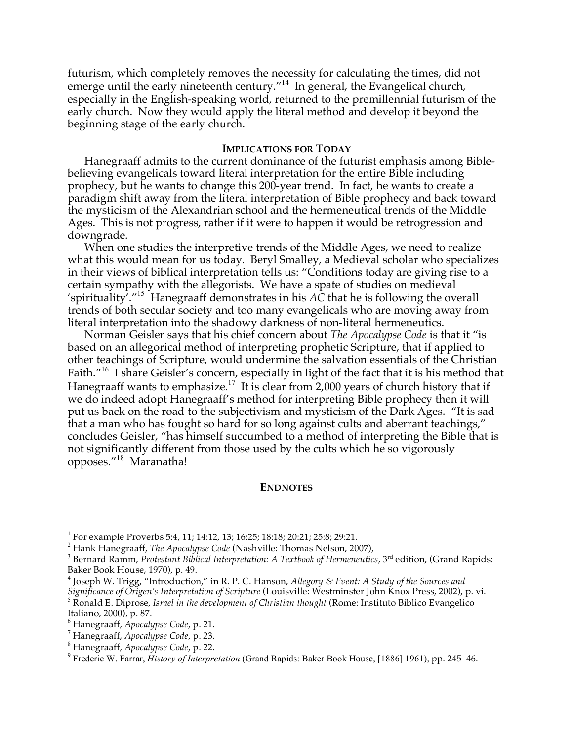futurism, which completely removes the necessity for calculating the times, did not emerge until the early nineteenth century."<sup>14</sup> In general, the Evangelical church, especially in the English-speaking world, returned to the premillennial futurism of the early church. Now they would apply the literal method and develop it beyond the beginning stage of the early church.

# **IMPLICATIONS FOR TODAY**

Hanegraaff admits to the current dominance of the futurist emphasis among Biblebelieving evangelicals toward literal interpretation for the entire Bible including prophecy, but he wants to change this 200-year trend. In fact, he wants to create a paradigm shift away from the literal interpretation of Bible prophecy and back toward the mysticism of the Alexandrian school and the hermeneutical trends of the Middle Ages. This is not progress, rather if it were to happen it would be retrogression and downgrade.

When one studies the interpretive trends of the Middle Ages, we need to realize what this would mean for us today. Beryl Smalley, a Medieval scholar who specializes in their views of biblical interpretation tells us: "Conditions today are giving rise to a certain sympathy with the allegorists. We have a spate of studies on medieval 'spirituality'."<sup>15</sup> Hanegraaff demonstrates in his *AC* that he is following the overall trends of both secular society and too many evangelicals who are moving away from literal interpretation into the shadowy darkness of non-literal hermeneutics.

Norman Geisler says that his chief concern about *The Apocalypse Code* is that it "is based on an allegorical method of interpreting prophetic Scripture, that if applied to other teachings of Scripture, would undermine the salvation essentials of the Christian Faith."<sup>16</sup> I share Geisler's concern, especially in light of the fact that it is his method that Hanegraaff wants to emphasize.<sup>17</sup> It is clear from 2,000 years of church history that if we do indeed adopt Hanegraaff's method for interpreting Bible prophecy then it will put us back on the road to the subjectivism and mysticism of the Dark Ages. "It is sad that a man who has fought so hard for so long against cults and aberrant teachings," concludes Geisler, "has himself succumbed to a method of interpreting the Bible that is not significantly different from those used by the cults which he so vigorously opposes."<sup>18</sup> Maranatha!

## **ENDNOTES**

<sup>&</sup>lt;sup>1</sup> For example Proverbs 5:4, 11; 14:12, 13; 16:25; 18:18; 20:21; 25:8; 29:21.<br><sup>2</sup> Hank Hanegraaff, *The Apocalypse Code* (Nashville: Thomas Nelson, 2007),<br><sup>3</sup> Bernard Ramm, *Protestant Biblical Interpretation: A Textbook* 

<sup>&</sup>lt;sup>4</sup> Joseph W. Trigg, "Introduction," in R. P. C. Hanson, *Allegory* & *Event: A Study of the Sources and Significance of Origen's Interpretation of Scripture* (Louisville: Westminster John Knox Press, 2002), p. vi.

 $^5$  Ronald E. Diprose, Israel in the development of Christian thought (Rome: Instituto Biblico Evangelico Italiano, 2000), p. 87.

<sup>&</sup>lt;sup>6</sup> Hanegraaff, *Apocalypse Code, p.* 21.<br><sup>7</sup> Hanegraaff, *Apocalypse Code, p.* 23.<br><sup>8</sup> Hanegraaff, *Apocalypse Code, p.* 22.<br><sup>9</sup> Frederic W. Farrar, *History of Interpretation* (Grand Rapids: Baker Book House, [1886] 1961